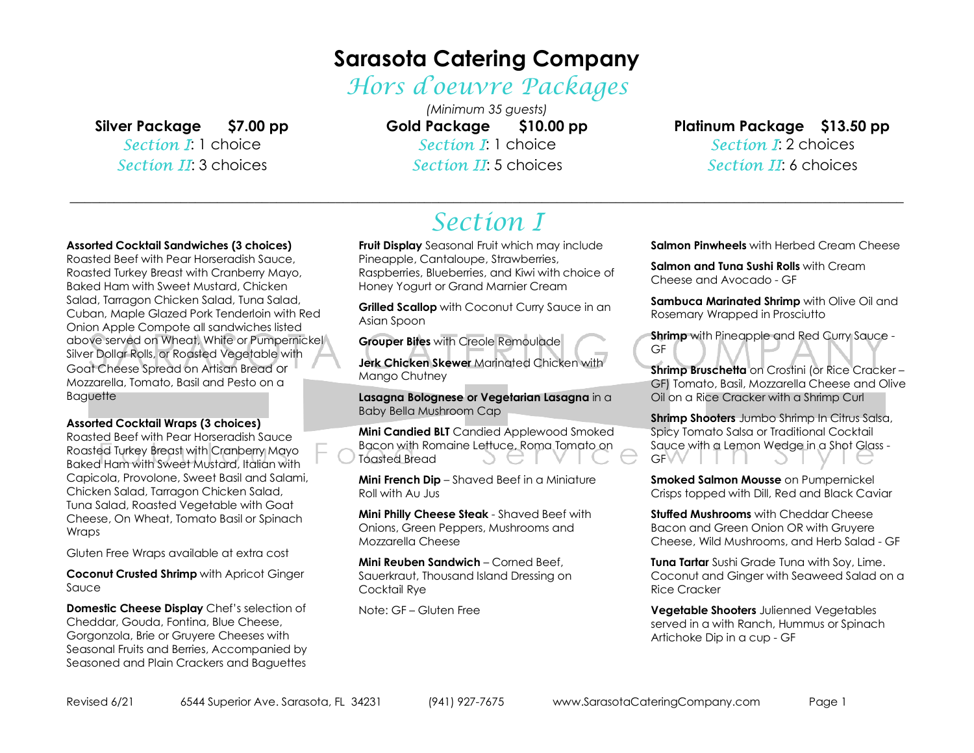# **Sarasota Catering Company**

Hors d'oeuvre Packages

**Silver Package \$7.00 pp** 

Section I: 1 choice Section II: 3 choices

*(Minimum 35 guests)* $$10.00$  pp **Gold Package \$10.00 pp** Section I: 1 choice Section II: 5 choices

**Platinum Package \$13.50 pp** Section **I:** 2 choices Section II: 6 choices

### **Assorted Cocktail Sandwiches (3 choices)**

 Roasted Beef with Pear Horseradish Sauce, Roasted Turkey Breast with Cranberry Mayo, Baked Ham with Sweet Mustard, Chicken Salad, Tarragon Chicken Salad, Tuna Salad, Cuban, Maple Glazed Pork Tenderloin with Red Onion Apple Compote all sandwiches listed above served on Wheat, White or Pumpernickel Silver Dollar Rolls, or Roasted Vegetable with Goat Cheese Spread on Artisan Bread or Mozzarella, Tomato, Basil and Pesto on a Baguette

#### **Assorted Cocktail Wraps (3 choices)**

 Roasted Beef with Pear Horseradish Sauce Roasted Turkey Breast with Cranberry Mayo Baked Ham with Sweet Mustard, Italian with Capicola, Provolone, Sweet Basil and Salami, Chicken Salad, Tarragon Chicken Salad, Tuna Salad, Roasted Vegetable with Goat Cheese, On Wheat, Tomato Basil or Spinach Wraps

Gluten Free Wraps available at extra cost

**Coconut Crusted Shrimp** with Apricot Ginger Sauce

**Domestic Cheese Display** Chef's selection of Cheddar, Gouda, Fontina, Blue Cheese, Gorgonzola, Brie or Gruyere Cheeses with Seasonal Fruits and Berries, Accompanied by Seasoned and Plain Crackers and Baguettes

### \_\_\_\_\_\_\_\_\_\_\_\_\_\_\_\_\_\_\_\_\_\_\_\_\_\_\_\_\_\_\_\_\_\_\_\_\_\_\_\_\_\_\_\_\_\_\_\_\_\_\_\_\_\_\_\_\_\_\_\_\_\_\_\_\_\_\_\_\_\_\_\_\_\_\_\_\_\_\_\_\_\_\_\_\_\_\_\_\_\_\_\_\_\_\_\_\_\_\_\_\_\_\_\_\_\_\_\_\_\_\_\_\_ Section I

**Fruit Display** Seasonal Fruit which may include Pineapple, Cantaloupe, Strawberries, Raspberries, Blueberries, and Kiwi with choice of Honey Yogurt or Grand Marnier Cream

**Grilled Scallop** with Coconut Curry Sauce in an Asian Spoon

**Grouper Bites** with Creole Remoulade

**Jerk Chicken Skewer** Marinated Chicken with Mango Chutney

**Lasagna Bolognese or Vegetarian Lasagna** in a Baby Bella Mushroom Cap

**Mini Candied BLT** Candied Applewood Smoked Bacon with Romaine Lettuce, Roma Tomato on Toasted Bread

**Mini French Dip** – Shaved Beef in a Miniature Roll with Au Jus

**Mini Philly Cheese Steak** - Shaved Beef with Onions, Green Peppers, Mushrooms and Mozzarella Cheese

**Mini Reuben Sandwich** – Corned Beef, Sauerkraut, Thousand Island Dressing on Cocktail Rye

Note: GF – Gluten Free

**Salmon Pinwheels** with Herbed Cream Cheese

**Salmon and Tuna Sushi Rolls** with Cream Cheese and Avocado - GF

**Sambuca Marinated Shrimp** with Olive Oil and Rosemary Wrapped in Prosciutto

**Shrimp** with Pineapple and Red Curry Sauce - GF

**Shrimp Bruschetta** on Crostini (or Rice Cracker – GF) Tomato, Basil, Mozzarella Cheese and Olive Oil on a Rice Cracker with a Shrimp Curl

**Shrimp Shooters** Jumbo Shrimp In Citrus Salsa, Spicy Tomato Salsa or Traditional Cocktail Sauce with a Lemon Wedge in a Shot Glass - **GFVV** 

**Smoked Salmon Mousse** on Pumpernickel Crisps topped with Dill, Red and Black Caviar

**Stuffed Mushrooms** with Cheddar Cheese Bacon and Green Onion OR with Gruyere Cheese, Wild Mushrooms, and Herb Salad - GF

**Tuna Tartar** Sushi Grade Tuna with Soy, Lime. Coconut and Ginger with Seaweed Salad on a Rice Cracker

**Vegetable Shooters** Julienned Vegetables served in a with Ranch, Hummus or Spinach Artichoke Dip in a cup - GF